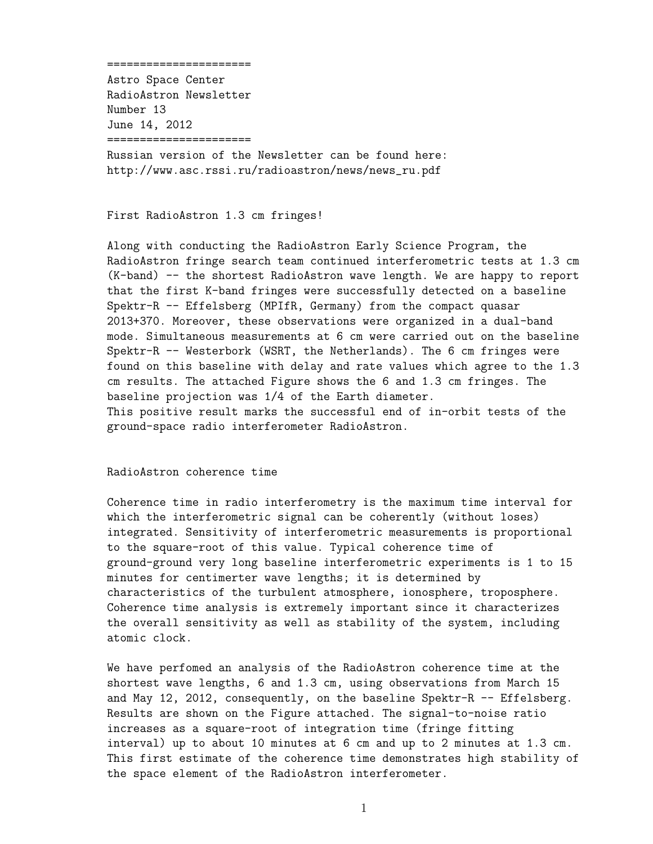## ======================

Astro Space Center RadioAstron Newsletter Number 13 June 14, 2012 ======================

Russian version of the Newsletter can be found here: http://www.asc.rssi.ru/radioastron/news/news\_ru.pdf

## First RadioAstron 1.3 cm fringes!

Along with conducting the RadioAstron Early Science Program, the RadioAstron fringe search team continued interferometric tests at 1.3 cm (K-band) -- the shortest RadioAstron wave length. We are happy to report that the first K-band fringes were successfully detected on a baseline Spektr-R -- Effelsberg (MPIfR, Germany) from the compact quasar 2013+370. Moreover, these observations were organized in a dual-band mode. Simultaneous measurements at 6 cm were carried out on the baseline Spektr-R -- Westerbork (WSRT, the Netherlands). The 6 cm fringes were found on this baseline with delay and rate values which agree to the 1.3 cm results. The attached Figure shows the 6 and 1.3 cm fringes. The baseline projection was 1/4 of the Earth diameter. This positive result marks the successful end of in-orbit tests of the ground-space radio interferometer RadioAstron.

## RadioAstron coherence time

Coherence time in radio interferometry is the maximum time interval for which the interferometric signal can be coherently (without loses) integrated. Sensitivity of interferometric measurements is proportional to the square-root of this value. Typical coherence time of ground-ground very long baseline interferometric experiments is 1 to 15 minutes for centimerter wave lengths; it is determined by characteristics of the turbulent atmosphere, ionosphere, troposphere. Coherence time analysis is extremely important since it characterizes the overall sensitivity as well as stability of the system, including atomic clock.

We have perfomed an analysis of the RadioAstron coherence time at the shortest wave lengths, 6 and 1.3 cm, using observations from March 15 and May 12, 2012, consequently, on the baseline Spektr-R -- Effelsberg. Results are shown on the Figure attached. The signal-to-noise ratio increases as a square-root of integration time (fringe fitting interval) up to about 10 minutes at 6 cm and up to 2 minutes at 1.3 cm. This first estimate of the coherence time demonstrates high stability of the space element of the RadioAstron interferometer.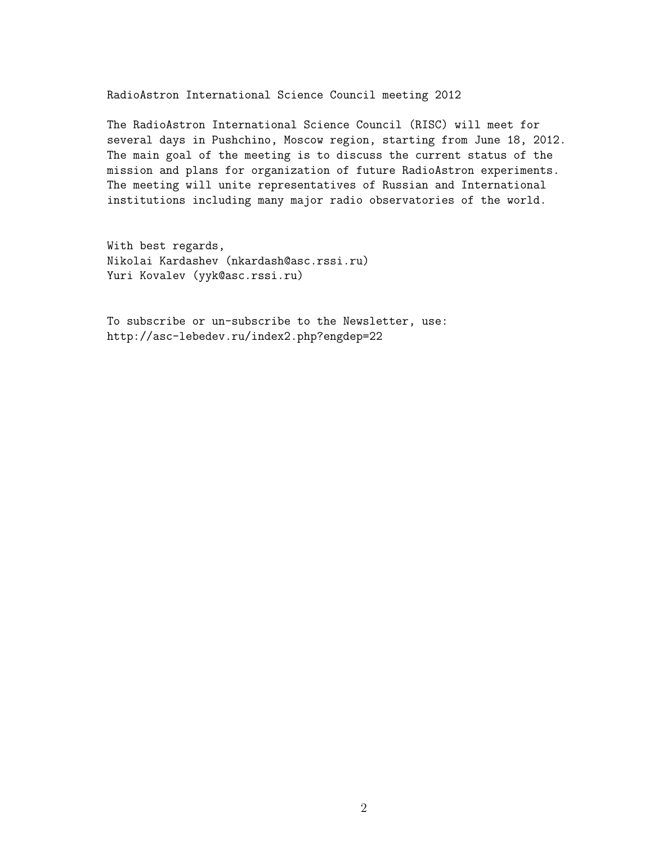RadioAstron International Science Council meeting 2012

The RadioAstron International Science Council (RISC) will meet for several days in Pushchino, Moscow region, starting from June 18, 2012. The main goal of the meeting is to discuss the current status of the mission and plans for organization of future RadioAstron experiments. The meeting will unite representatives of Russian and International institutions including many major radio observatories of the world.

With best regards, Nikolai Kardashev (nkardash@asc.rssi.ru) Yuri Kovalev (yyk@asc.rssi.ru)

To subscribe or un-subscribe to the Newsletter, use: http://asc-lebedev.ru/index2.php?engdep=22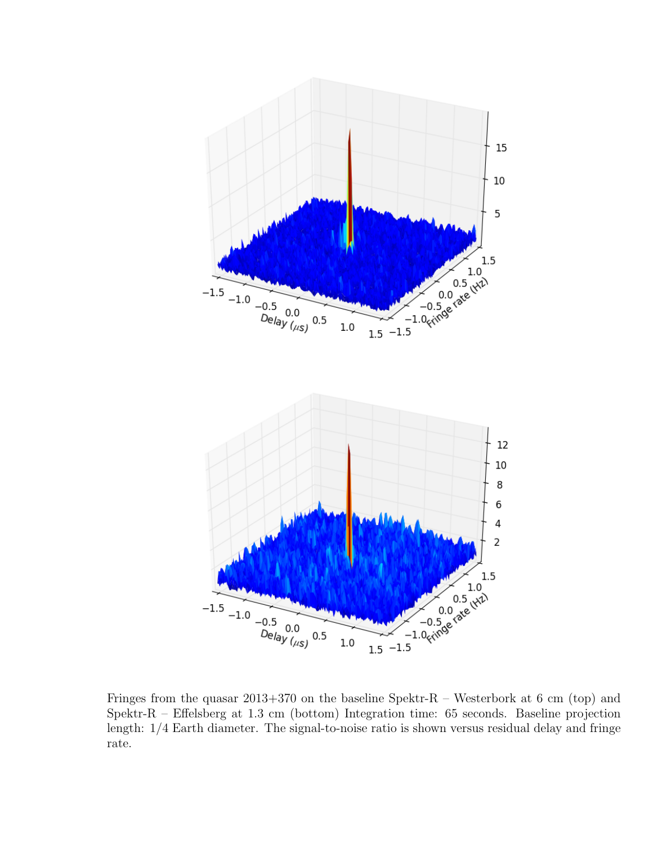

Fringes from the quasar 2013+370 on the baseline Spektr-R – Westerbork at 6 cm (top) and Spektr-R – Effelsberg at 1.3 cm (bottom) Integration time: 65 seconds. Baseline projection length: 1/4 Earth diameter. The signal-to-noise ratio is shown versus residual delay and fringe rate.